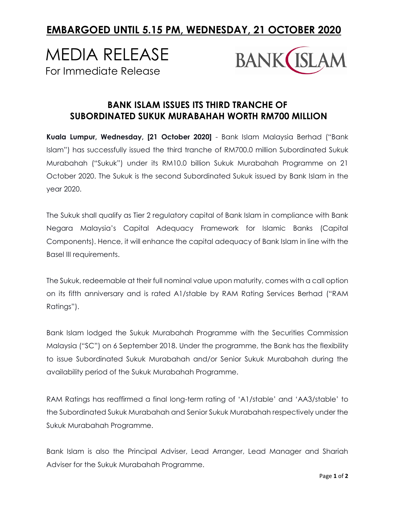## **EMBARGOED UNTIL 5.15 PM, WEDNESDAY, 21 OCTOBER 2020**

# MEDIA RELEASE For Immediate Release



### **BANK ISLAM ISSUES ITS THIRD TRANCHE OF SUBORDINATED SUKUK MURABAHAH WORTH RM700 MILLION**

**Kuala Lumpur, Wednesday, [21 October 2020]** - Bank Islam Malaysia Berhad ("Bank Islam") has successfully issued the third tranche of RM700.0 million Subordinated Sukuk Murabahah ("Sukuk") under its RM10.0 billion Sukuk Murabahah Programme on 21 October 2020. The Sukuk is the second Subordinated Sukuk issued by Bank Islam in the year 2020.

The Sukuk shall qualify as Tier 2 regulatory capital of Bank Islam in compliance with Bank Negara Malaysia's Capital Adequacy Framework for Islamic Banks (Capital Components). Hence, it will enhance the capital adequacy of Bank Islam in line with the Basel III requirements.

The Sukuk, redeemable at their full nominal value upon maturity, comes with a call option on its fifth anniversary and is rated A1/stable by RAM Rating Services Berhad ("RAM Ratings").

Bank Islam lodged the Sukuk Murabahah Programme with the Securities Commission Malaysia ("SC") on 6 September 2018. Under the programme, the Bank has the flexibility to issue Subordinated Sukuk Murabahah and/or Senior Sukuk Murabahah during the availability period of the Sukuk Murabahah Programme.

RAM Ratings has reaffirmed a final long-term rating of 'A1/stable' and 'AA3/stable' to the Subordinated Sukuk Murabahah and Senior Sukuk Murabahah respectively under the Sukuk Murabahah Programme.

Bank Islam is also the Principal Adviser, Lead Arranger, Lead Manager and Shariah Adviser for the Sukuk Murabahah Programme.